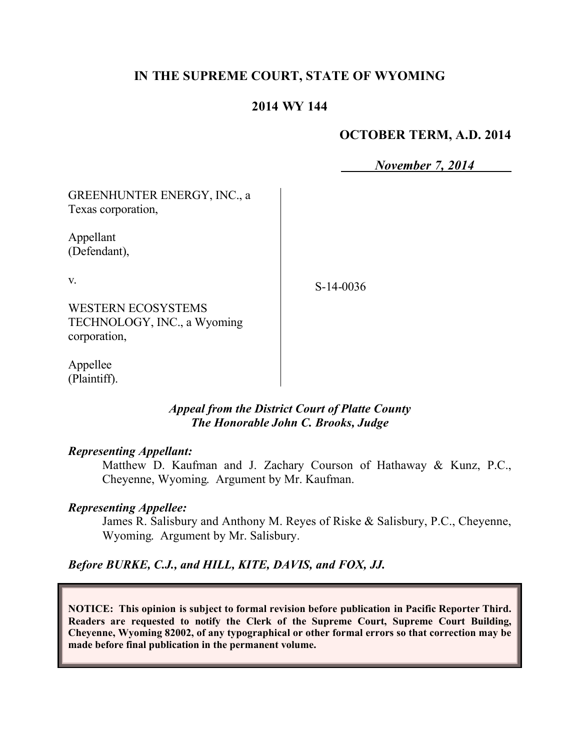## **IN THE SUPREME COURT, STATE OF WYOMING**

### **2014 WY 144**

### **OCTOBER TERM, A.D. 2014**

*November 7, 2014*

GREENHUNTER ENERGY, INC., a Texas corporation,

Appellant (Defendant),

v.

S-14-0036

WESTERN ECOSYSTEMS TECHNOLOGY, INC., a Wyoming corporation,

Appellee (Plaintiff).

### *Appeal from the District Court of Platte County The Honorable John C. Brooks, Judge*

#### *Representing Appellant:*

Matthew D. Kaufman and J. Zachary Courson of Hathaway & Kunz, P.C., Cheyenne, Wyoming. Argument by Mr. Kaufman.

#### *Representing Appellee:*

James R. Salisbury and Anthony M. Reyes of Riske & Salisbury, P.C., Cheyenne, Wyoming. Argument by Mr. Salisbury.

#### *Before BURKE, C.J., and HILL, KITE, DAVIS, and FOX, JJ.*

**NOTICE: This opinion is subject to formal revision before publication in Pacific Reporter Third. Readers are requested to notify the Clerk of the Supreme Court, Supreme Court Building, Cheyenne, Wyoming 82002, of any typographical or other formal errors so that correction may be made before final publication in the permanent volume.**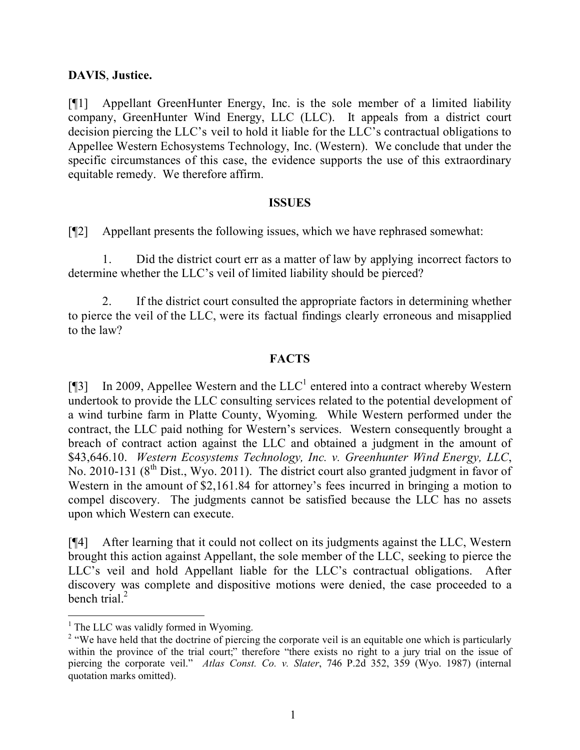## **DAVIS**, **Justice.**

[¶1] Appellant GreenHunter Energy, Inc. is the sole member of a limited liability company, GreenHunter Wind Energy, LLC (LLC). It appeals from a district court decision piercing the LLC's veil to hold it liable for the LLC's contractual obligations to Appellee Western Echosystems Technology, Inc. (Western). We conclude that under the specific circumstances of this case, the evidence supports the use of this extraordinary equitable remedy. We therefore affirm.

#### **ISSUES**

[¶2] Appellant presents the following issues, which we have rephrased somewhat:

1. Did the district court err as a matter of law by applying incorrect factors to determine whether the LLC's veil of limited liability should be pierced?

2. If the district court consulted the appropriate factors in determining whether to pierce the veil of the LLC, were its factual findings clearly erroneous and misapplied to the law?

### **FACTS**

[¶3] In 2009, Appellee Western and the  $LLC<sup>1</sup>$  entered into a contract whereby Western undertook to provide the LLC consulting services related to the potential development of a wind turbine farm in Platte County, Wyoming. While Western performed under the contract, the LLC paid nothing for Western's services. Western consequently brought a breach of contract action against the LLC and obtained a judgment in the amount of \$43,646.10. *Western Ecosystems Technology, Inc. v. Greenhunter Wind Energy, LLC*, No. 2010-131  $(8^{th}$  Dist., Wyo. 2011). The district court also granted judgment in favor of Western in the amount of \$2,161.84 for attorney's fees incurred in bringing a motion to compel discovery. The judgments cannot be satisfied because the LLC has no assets upon which Western can execute.

[¶4] After learning that it could not collect on its judgments against the LLC, Western brought this action against Appellant, the sole member of the LLC, seeking to pierce the LLC's veil and hold Appellant liable for the LLC's contractual obligations. After discovery was complete and dispositive motions were denied, the case proceeded to a bench trial. $2$ 

 $<sup>1</sup>$  The LLC was validly formed in Wyoming.</sup>

<sup>&</sup>lt;sup>2</sup> "We have held that the doctrine of piercing the corporate veil is an equitable one which is particularly within the province of the trial court;" therefore "there exists no right to a jury trial on the issue of piercing the corporate veil." *Atlas Const. Co. v. Slater*, 746 P.2d 352, 359 (Wyo. 1987) (internal quotation marks omitted).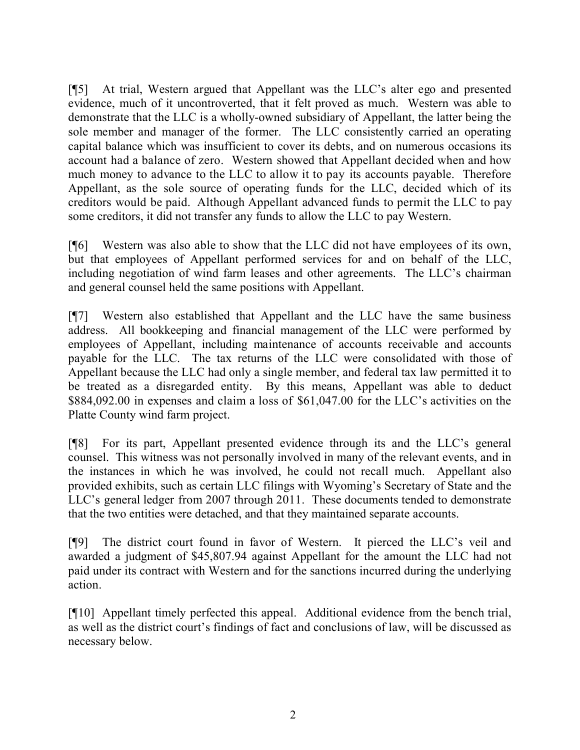[¶5] At trial, Western argued that Appellant was the LLC's alter ego and presented evidence, much of it uncontroverted, that it felt proved as much. Western was able to demonstrate that the LLC is a wholly-owned subsidiary of Appellant, the latter being the sole member and manager of the former. The LLC consistently carried an operating capital balance which was insufficient to cover its debts, and on numerous occasions its account had a balance of zero. Western showed that Appellant decided when and how much money to advance to the LLC to allow it to pay its accounts payable. Therefore Appellant, as the sole source of operating funds for the LLC, decided which of its creditors would be paid. Although Appellant advanced funds to permit the LLC to pay some creditors, it did not transfer any funds to allow the LLC to pay Western.

[¶6] Western was also able to show that the LLC did not have employees of its own, but that employees of Appellant performed services for and on behalf of the LLC, including negotiation of wind farm leases and other agreements. The LLC's chairman and general counsel held the same positions with Appellant.

[¶7] Western also established that Appellant and the LLC have the same business address. All bookkeeping and financial management of the LLC were performed by employees of Appellant, including maintenance of accounts receivable and accounts payable for the LLC. The tax returns of the LLC were consolidated with those of Appellant because the LLC had only a single member, and federal tax law permitted it to be treated as a disregarded entity. By this means, Appellant was able to deduct \$884,092.00 in expenses and claim a loss of \$61,047.00 for the LLC's activities on the Platte County wind farm project.

[¶8] For its part, Appellant presented evidence through its and the LLC's general counsel. This witness was not personally involved in many of the relevant events, and in the instances in which he was involved, he could not recall much. Appellant also provided exhibits, such as certain LLC filings with Wyoming's Secretary of State and the LLC's general ledger from 2007 through 2011. These documents tended to demonstrate that the two entities were detached, and that they maintained separate accounts.

[¶9] The district court found in favor of Western. It pierced the LLC's veil and awarded a judgment of \$45,807.94 against Appellant for the amount the LLC had not paid under its contract with Western and for the sanctions incurred during the underlying action.

[¶10] Appellant timely perfected this appeal. Additional evidence from the bench trial, as well as the district court's findings of fact and conclusions of law, will be discussed as necessary below.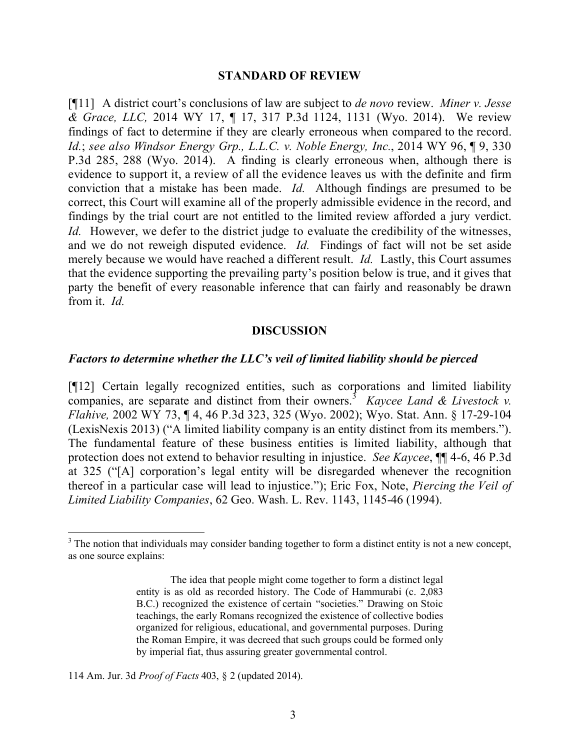#### **STANDARD OF REVIEW**

[¶11] A district court's conclusions of law are subject to *de novo* review. *Miner v. Jesse & Grace, LLC,* 2014 WY 17, ¶ 17, 317 P.3d 1124, 1131 (Wyo. 2014). We review findings of fact to determine if they are clearly erroneous when compared to the record. *Id.*; *see also Windsor Energy Grp., L.L.C. v. Noble Energy, Inc.*, 2014 WY 96, ¶ 9, 330 P.3d 285, 288 (Wyo. 2014). A finding is clearly erroneous when, although there is evidence to support it, a review of all the evidence leaves us with the definite and firm conviction that a mistake has been made. *Id.* Although findings are presumed to be correct, this Court will examine all of the properly admissible evidence in the record, and findings by the trial court are not entitled to the limited review afforded a jury verdict. *Id.* However, we defer to the district judge to evaluate the credibility of the witnesses, and we do not reweigh disputed evidence. *Id.* Findings of fact will not be set aside merely because we would have reached a different result. *Id.* Lastly, this Court assumes that the evidence supporting the prevailing party's position below is true, and it gives that party the benefit of every reasonable inference that can fairly and reasonably be drawn from it. *Id.*

#### **DISCUSSION**

#### *Factors to determine whether the LLC's veil of limited liability should be pierced*

[¶12] Certain legally recognized entities, such as corporations and limited liability companies, are separate and distinct from their owners. 3 *Kaycee Land & Livestock v. Flahive,* 2002 WY 73, ¶ 4, 46 P.3d 323, 325 (Wyo. 2002); Wyo. Stat. Ann. § 17-29-104 (LexisNexis 2013) ("A limited liability company is an entity distinct from its members."). The fundamental feature of these business entities is limited liability, although that protection does not extend to behavior resulting in injustice. *See Kaycee*, ¶¶ 4-6, 46 P.3d at 325 ("[A] corporation's legal entity will be disregarded whenever the recognition thereof in a particular case will lead to injustice."); Eric Fox, Note, *Piercing the Veil of Limited Liability Companies*, 62 Geo. Wash. L. Rev. 1143, 1145-46 (1994).

 $\overline{a}$ 

<sup>&</sup>lt;sup>3</sup> The notion that individuals may consider banding together to form a distinct entity is not a new concept, as one source explains:

The idea that people might come together to form a distinct legal entity is as old as recorded history. The Code of Hammurabi (c. 2,083 B.C.) recognized the existence of certain "societies." Drawing on Stoic teachings, the early Romans recognized the existence of collective bodies organized for religious, educational, and governmental purposes. During the Roman Empire, it was decreed that such groups could be formed only by imperial fiat, thus assuring greater governmental control.

<sup>114</sup> Am. Jur. 3d *Proof of Facts* 403, § 2 (updated 2014).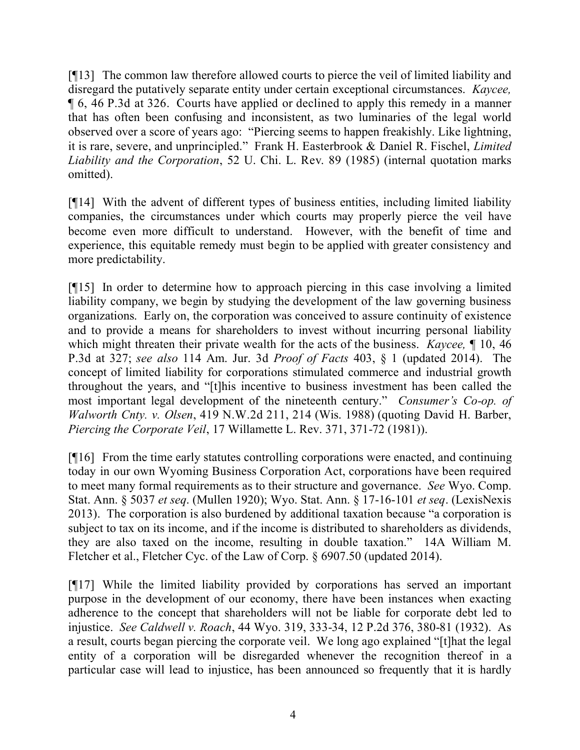[¶13] The common law therefore allowed courts to pierce the veil of limited liability and disregard the putatively separate entity under certain exceptional circumstances. *Kaycee,* ¶ 6, 46 P.3d at 326. Courts have applied or declined to apply this remedy in a manner that has often been confusing and inconsistent, as two luminaries of the legal world observed over a score of years ago: "Piercing seems to happen freakishly. Like lightning, it is rare, severe, and unprincipled." Frank H. Easterbrook & Daniel R. Fischel, *Limited Liability and the Corporation*, 52 U. Chi. L. Rev. 89 (1985) (internal quotation marks omitted).

[¶14] With the advent of different types of business entities, including limited liability companies, the circumstances under which courts may properly pierce the veil have become even more difficult to understand. However, with the benefit of time and experience, this equitable remedy must begin to be applied with greater consistency and more predictability.

[¶15] In order to determine how to approach piercing in this case involving a limited liability company, we begin by studying the development of the law governing business organizations. Early on, the corporation was conceived to assure continuity of existence and to provide a means for shareholders to invest without incurring personal liability which might threaten their private wealth for the acts of the business. *Kaycee,* ¶ 10, 46 P.3d at 327; *see also* 114 Am. Jur. 3d *Proof of Facts* 403, § 1 (updated 2014). The concept of limited liability for corporations stimulated commerce and industrial growth throughout the years, and "[t]his incentive to business investment has been called the most important legal development of the nineteenth century." *Consumer's Co-op. of Walworth Cnty. v. Olsen*, 419 N.W.2d 211, 214 (Wis. 1988) (quoting David H. Barber, *Piercing the Corporate Veil*, 17 Willamette L. Rev. 371, 371-72 (1981)).

[¶16] From the time early statutes controlling corporations were enacted, and continuing today in our own Wyoming Business Corporation Act, corporations have been required to meet many formal requirements as to their structure and governance. *See* Wyo. Comp. Stat. Ann. § 5037 *et seq*. (Mullen 1920); Wyo. Stat. Ann. § 17-16-101 *et seq*. (LexisNexis 2013). The corporation is also burdened by additional taxation because "a corporation is subject to tax on its income, and if the income is distributed to shareholders as dividends, they are also taxed on the income, resulting in double taxation." 14A William M. Fletcher et al., Fletcher Cyc. of the Law of Corp. § 6907.50 (updated 2014).

[¶17] While the limited liability provided by corporations has served an important purpose in the development of our economy, there have been instances when exacting adherence to the concept that shareholders will not be liable for corporate debt led to injustice. *See Caldwell v. Roach*, 44 Wyo. 319, 333-34, 12 P.2d 376, 380-81 (1932). As a result, courts began piercing the corporate veil. We long ago explained "[t]hat the legal entity of a corporation will be disregarded whenever the recognition thereof in a particular case will lead to injustice, has been announced so frequently that it is hardly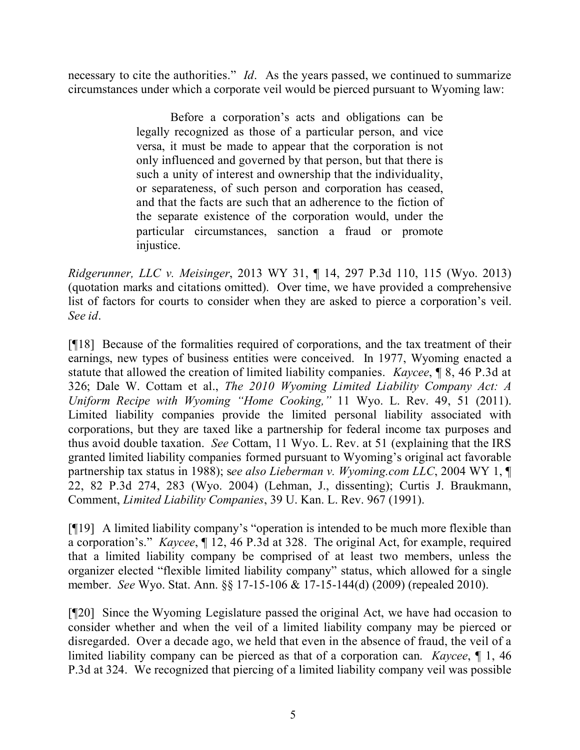necessary to cite the authorities." *Id*. As the years passed, we continued to summarize circumstances under which a corporate veil would be pierced pursuant to Wyoming law:

> Before a corporation's acts and obligations can be legally recognized as those of a particular person, and vice versa, it must be made to appear that the corporation is not only influenced and governed by that person, but that there is such a unity of interest and ownership that the individuality, or separateness, of such person and corporation has ceased, and that the facts are such that an adherence to the fiction of the separate existence of the corporation would, under the particular circumstances, sanction a fraud or promote injustice.

*Ridgerunner, LLC v. Meisinger*, 2013 WY 31, ¶ 14, 297 P.3d 110, 115 (Wyo. 2013) (quotation marks and citations omitted). Over time, we have provided a comprehensive list of factors for courts to consider when they are asked to pierce a corporation's veil. *See id*.

[¶18] Because of the formalities required of corporations, and the tax treatment of their earnings, new types of business entities were conceived. In 1977, Wyoming enacted a statute that allowed the creation of limited liability companies. *Kaycee*, ¶ 8, 46 P.3d at 326; Dale W. Cottam et al., *The 2010 Wyoming Limited Liability Company Act: A Uniform Recipe with Wyoming "Home Cooking,"* 11 Wyo. L. Rev. 49, 51 (2011). Limited liability companies provide the limited personal liability associated with corporations, but they are taxed like a partnership for federal income tax purposes and thus avoid double taxation. *See* Cottam, 11 Wyo. L. Rev. at 51 (explaining that the IRS granted limited liability companies formed pursuant to Wyoming's original act favorable partnership tax status in 1988); s*ee also Lieberman v. Wyoming.com LLC*, 2004 WY 1, ¶ 22, 82 P.3d 274, 283 (Wyo. 2004) (Lehman, J., dissenting); Curtis J. Braukmann, Comment, *Limited Liability Companies*, 39 U. Kan. L. Rev. 967 (1991).

[¶19] A limited liability company's "operation is intended to be much more flexible than a corporation's." *Kaycee*, ¶ 12, 46 P.3d at 328. The original Act, for example, required that a limited liability company be comprised of at least two members, unless the organizer elected "flexible limited liability company" status, which allowed for a single member. *See* Wyo. Stat. Ann. §§ 17-15-106 & 17-15-144(d) (2009) (repealed 2010).

[¶20] Since the Wyoming Legislature passed the original Act, we have had occasion to consider whether and when the veil of a limited liability company may be pierced or disregarded. Over a decade ago, we held that even in the absence of fraud, the veil of a limited liability company can be pierced as that of a corporation can. *Kaycee*, ¶ 1, 46 P.3d at 324. We recognized that piercing of a limited liability company veil was possible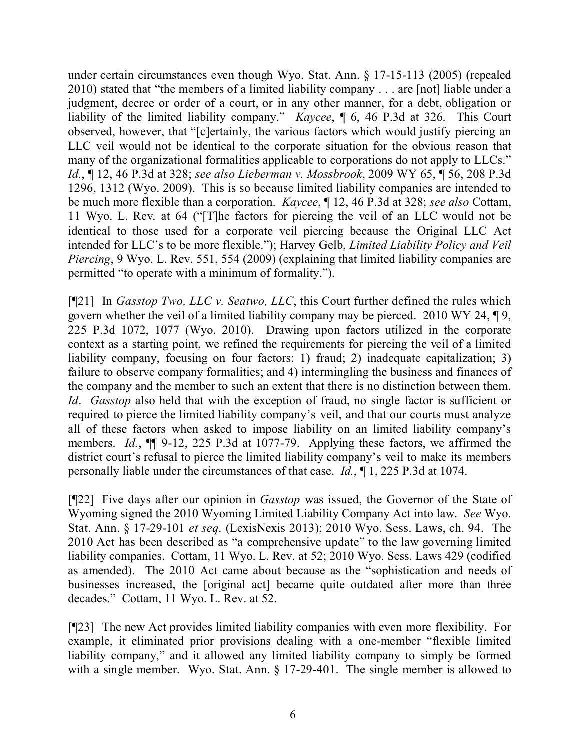under certain circumstances even though Wyo. Stat. Ann. § 17-15-113 (2005) (repealed 2010) stated that "the members of a limited liability company . . . are [not] liable under a judgment, decree or order of a court, or in any other manner, for a debt, obligation or liability of the limited liability company." *Kaycee*, ¶ 6, 46 P.3d at 326. This Court observed, however, that "[c]ertainly, the various factors which would justify piercing an LLC veil would not be identical to the corporate situation for the obvious reason that many of the organizational formalities applicable to corporations do not apply to LLCs." *Id.*, ¶ 12, 46 P.3d at 328; *see also Lieberman v. Mossbrook*, 2009 WY 65, ¶ 56, 208 P.3d 1296, 1312 (Wyo. 2009). This is so because limited liability companies are intended to be much more flexible than a corporation. *Kaycee*, ¶ 12, 46 P.3d at 328; *see also* Cottam, 11 Wyo. L. Rev. at 64 ("[T]he factors for piercing the veil of an LLC would not be identical to those used for a corporate veil piercing because the Original LLC Act intended for LLC's to be more flexible."); Harvey Gelb, *Limited Liability Policy and Veil Piercing*, 9 Wyo. L. Rev. 551, 554 (2009) (explaining that limited liability companies are permitted "to operate with a minimum of formality.").

[¶21] In *Gasstop Two, LLC v. Seatwo, LLC*, this Court further defined the rules which govern whether the veil of a limited liability company may be pierced. 2010 WY 24, ¶ 9, 225 P.3d 1072, 1077 (Wyo. 2010). Drawing upon factors utilized in the corporate context as a starting point, we refined the requirements for piercing the veil of a limited liability company, focusing on four factors: 1) fraud; 2) inadequate capitalization; 3) failure to observe company formalities; and 4) intermingling the business and finances of the company and the member to such an extent that there is no distinction between them. *Id*. *Gasstop* also held that with the exception of fraud, no single factor is sufficient or required to pierce the limited liability company's veil, and that our courts must analyze all of these factors when asked to impose liability on an limited liability company's members. *Id.*, ¶¶ 9-12, 225 P.3d at 1077-79. Applying these factors, we affirmed the district court's refusal to pierce the limited liability company's veil to make its members personally liable under the circumstances of that case. *Id.*, ¶ 1, 225 P.3d at 1074.

[¶22] Five days after our opinion in *Gasstop* was issued, the Governor of the State of Wyoming signed the 2010 Wyoming Limited Liability Company Act into law. *See* Wyo. Stat. Ann. § 17-29-101 *et seq*. (LexisNexis 2013); 2010 Wyo. Sess. Laws, ch. 94. The 2010 Act has been described as "a comprehensive update" to the law governing limited liability companies. Cottam, 11 Wyo. L. Rev. at 52; 2010 Wyo. Sess. Laws 429 (codified as amended). The 2010 Act came about because as the "sophistication and needs of businesses increased, the [original act] became quite outdated after more than three decades." Cottam, 11 Wyo. L. Rev. at 52.

[¶23] The new Act provides limited liability companies with even more flexibility. For example, it eliminated prior provisions dealing with a one-member "flexible limited liability company," and it allowed any limited liability company to simply be formed with a single member. Wyo. Stat. Ann. § 17-29-401. The single member is allowed to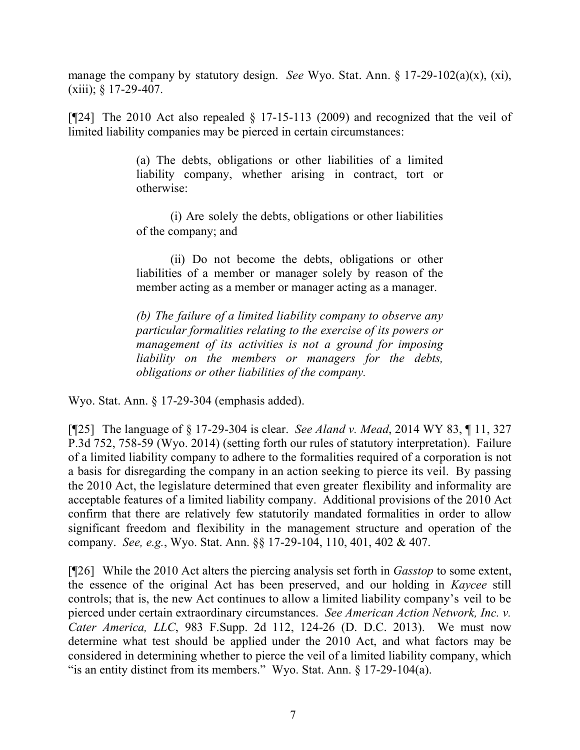manage the company by statutory design. *See* Wyo. Stat. Ann. § 17-29-102(a)(x), (xi),  $(xiii)$ ; § 17-29-407.

[ $[$ 24] The 2010 Act also repealed  $\S$  17-15-113 (2009) and recognized that the veil of limited liability companies may be pierced in certain circumstances:

> (a) The debts, obligations or other liabilities of a limited liability company, whether arising in contract, tort or otherwise:

> (i) Are solely the debts, obligations or other liabilities of the company; and

> (ii) Do not become the debts, obligations or other liabilities of a member or manager solely by reason of the member acting as a member or manager acting as a manager.

> *(b) The failure of a limited liability company to observe any particular formalities relating to the exercise of its powers or management of its activities is not a ground for imposing liability on the members or managers for the debts, obligations or other liabilities of the company.*

Wyo. Stat. Ann. § 17-29-304 (emphasis added).

[¶25] The language of § 17-29-304 is clear. *See Aland v. Mead*, 2014 WY 83, ¶ 11, 327 P.3d 752, 758-59 (Wyo. 2014) (setting forth our rules of statutory interpretation). Failure of a limited liability company to adhere to the formalities required of a corporation is not a basis for disregarding the company in an action seeking to pierce its veil. By passing the 2010 Act, the legislature determined that even greater flexibility and informality are acceptable features of a limited liability company. Additional provisions of the 2010 Act confirm that there are relatively few statutorily mandated formalities in order to allow significant freedom and flexibility in the management structure and operation of the company. *See, e.g.*, Wyo. Stat. Ann. §§ 17-29-104, 110, 401, 402 & 407.

[¶26] While the 2010 Act alters the piercing analysis set forth in *Gasstop* to some extent, the essence of the original Act has been preserved, and our holding in *Kaycee* still controls; that is, the new Act continues to allow a limited liability company's veil to be pierced under certain extraordinary circumstances. *See American Action Network, Inc. v. Cater America, LLC*, 983 F.Supp. 2d 112, 124-26 (D. D.C. 2013). We must now determine what test should be applied under the 2010 Act, and what factors may be considered in determining whether to pierce the veil of a limited liability company, which "is an entity distinct from its members." Wyo. Stat. Ann. § 17-29-104(a).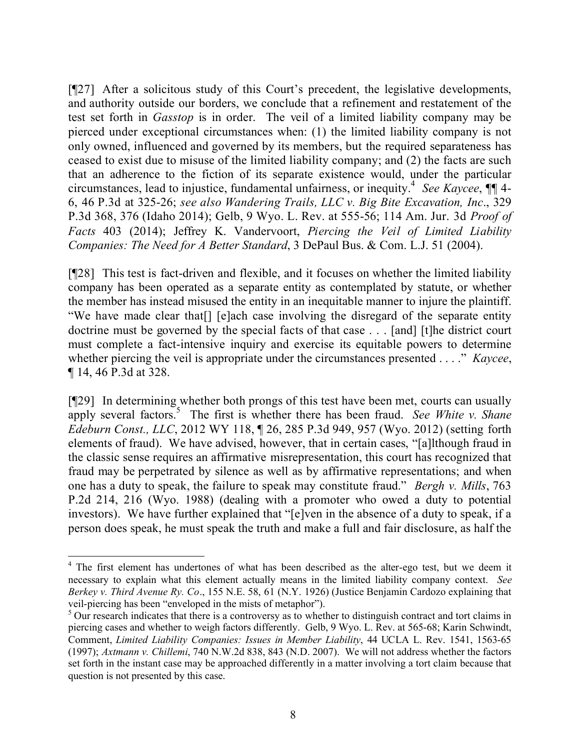[¶27] After a solicitous study of this Court's precedent, the legislative developments, and authority outside our borders, we conclude that a refinement and restatement of the test set forth in *Gasstop* is in order. The veil of a limited liability company may be pierced under exceptional circumstances when: (1) the limited liability company is not only owned, influenced and governed by its members, but the required separateness has ceased to exist due to misuse of the limited liability company; and (2) the facts are such that an adherence to the fiction of its separate existence would, under the particular circumstances, lead to injustice, fundamental unfairness, or inequity.<sup>4</sup> *See Kaycee*, ¶¶ 4- 6, 46 P.3d at 325-26; *see also Wandering Trails, LLC v. Big Bite Excavation, Inc*., 329 P.3d 368, 376 (Idaho 2014); Gelb, 9 Wyo. L. Rev. at 555-56; 114 Am. Jur. 3d *Proof of Facts* 403 (2014); Jeffrey K. Vandervoort, *Piercing the Veil of Limited Liability Companies: The Need for A Better Standard*, 3 DePaul Bus. & Com. L.J. 51 (2004).

[¶28] This test is fact-driven and flexible, and it focuses on whether the limited liability company has been operated as a separate entity as contemplated by statute, or whether the member has instead misused the entity in an inequitable manner to injure the plaintiff. "We have made clear that[] [e]ach case involving the disregard of the separate entity doctrine must be governed by the special facts of that case . . . [and] [t]he district court must complete a fact-intensive inquiry and exercise its equitable powers to determine whether piercing the veil is appropriate under the circumstances presented . . . ." *Kaycee*, ¶ 14, 46 P.3d at 328.

[¶29] In determining whether both prongs of this test have been met, courts can usually apply several factors.<sup>5</sup> The first is whether there has been fraud. *See White v. Shane Edeburn Const., LLC*, 2012 WY 118, ¶ 26, 285 P.3d 949, 957 (Wyo. 2012) (setting forth elements of fraud). We have advised, however, that in certain cases, "[a]lthough fraud in the classic sense requires an affirmative misrepresentation, this court has recognized that fraud may be perpetrated by silence as well as by affirmative representations; and when one has a duty to speak, the failure to speak may constitute fraud." *Bergh v. Mills*, 763 P.2d 214, 216 (Wyo. 1988) (dealing with a promoter who owed a duty to potential investors). We have further explained that "[e]ven in the absence of a duty to speak, if a person does speak, he must speak the truth and make a full and fair disclosure, as half the

<sup>&</sup>lt;sup>4</sup> The first element has undertones of what has been described as the alter-ego test, but we deem it necessary to explain what this element actually means in the limited liability company context. *See Berkey v. Third Avenue Ry. Co*., 155 N.E. 58, 61 (N.Y. 1926) (Justice Benjamin Cardozo explaining that veil-piercing has been "enveloped in the mists of metaphor").

<sup>&</sup>lt;sup>5</sup> Our research indicates that there is a controversy as to whether to distinguish contract and tort claims in piercing cases and whether to weigh factors differently. Gelb, 9 Wyo. L. Rev. at 565-68; Karin Schwindt, Comment, *Limited Liability Companies: Issues in Member Liability*, 44 UCLA L. Rev. 1541, 1563-65 (1997); *Axtmann v. Chillemi*, 740 N.W.2d 838, 843 (N.D. 2007). We will not address whether the factors set forth in the instant case may be approached differently in a matter involving a tort claim because that question is not presented by this case.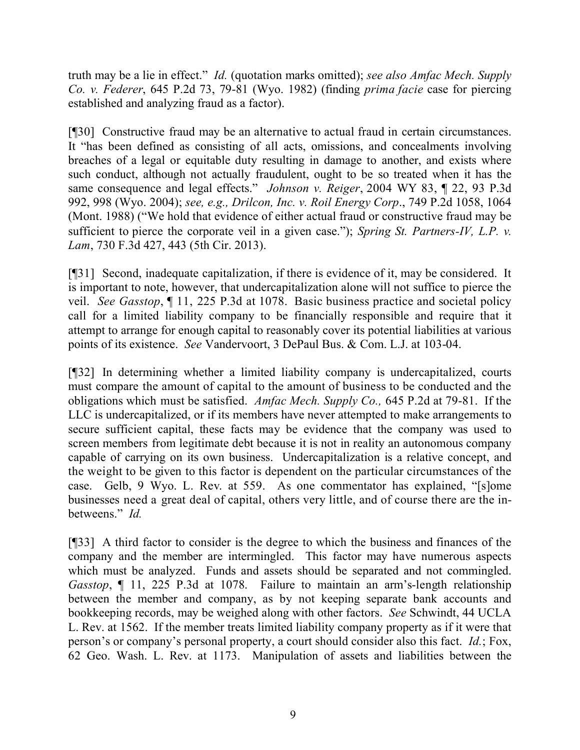truth may be a lie in effect." *Id.* (quotation marks omitted); *see also Amfac Mech. Supply Co. v. Federer*, 645 P.2d 73, 79-81 (Wyo. 1982) (finding *prima facie* case for piercing established and analyzing fraud as a factor).

[¶30] Constructive fraud may be an alternative to actual fraud in certain circumstances. It "has been defined as consisting of all acts, omissions, and concealments involving breaches of a legal or equitable duty resulting in damage to another, and exists where such conduct, although not actually fraudulent, ought to be so treated when it has the same consequence and legal effects." *Johnson v. Reiger*, 2004 WY 83, ¶ 22, 93 P.3d 992, 998 (Wyo. 2004); *see, e.g., Drilcon, Inc. v. Roil Energy Corp*., 749 P.2d 1058, 1064 (Mont. 1988) ("We hold that evidence of either actual fraud or constructive fraud may be sufficient to pierce the corporate veil in a given case."); *Spring St. Partners-IV, L.P. v. Lam*, 730 F.3d 427, 443 (5th Cir. 2013).

[¶31] Second, inadequate capitalization, if there is evidence of it, may be considered. It is important to note, however, that undercapitalization alone will not suffice to pierce the veil. *See Gasstop*, ¶ 11, 225 P.3d at 1078. Basic business practice and societal policy call for a limited liability company to be financially responsible and require that it attempt to arrange for enough capital to reasonably cover its potential liabilities at various points of its existence. *See* Vandervoort, 3 DePaul Bus. & Com. L.J. at 103-04.

[¶32] In determining whether a limited liability company is undercapitalized, courts must compare the amount of capital to the amount of business to be conducted and the obligations which must be satisfied. *Amfac Mech. Supply Co.,* 645 P.2d at 79-81. If the LLC is undercapitalized, or if its members have never attempted to make arrangements to secure sufficient capital, these facts may be evidence that the company was used to screen members from legitimate debt because it is not in reality an autonomous company capable of carrying on its own business. Undercapitalization is a relative concept, and the weight to be given to this factor is dependent on the particular circumstances of the case. Gelb, 9 Wyo. L. Rev. at 559. As one commentator has explained, "[s]ome businesses need a great deal of capital, others very little, and of course there are the inbetweens." *Id.*

[¶33] A third factor to consider is the degree to which the business and finances of the company and the member are intermingled. This factor may have numerous aspects which must be analyzed. Funds and assets should be separated and not commingled. *Gasstop*, ¶ 11, 225 P.3d at 1078. Failure to maintain an arm's-length relationship between the member and company, as by not keeping separate bank accounts and bookkeeping records, may be weighed along with other factors. *See* Schwindt, 44 UCLA L. Rev. at 1562. If the member treats limited liability company property as if it were that person's or company's personal property, a court should consider also this fact. *Id.*; Fox, 62 Geo. Wash. L. Rev. at 1173. Manipulation of assets and liabilities between the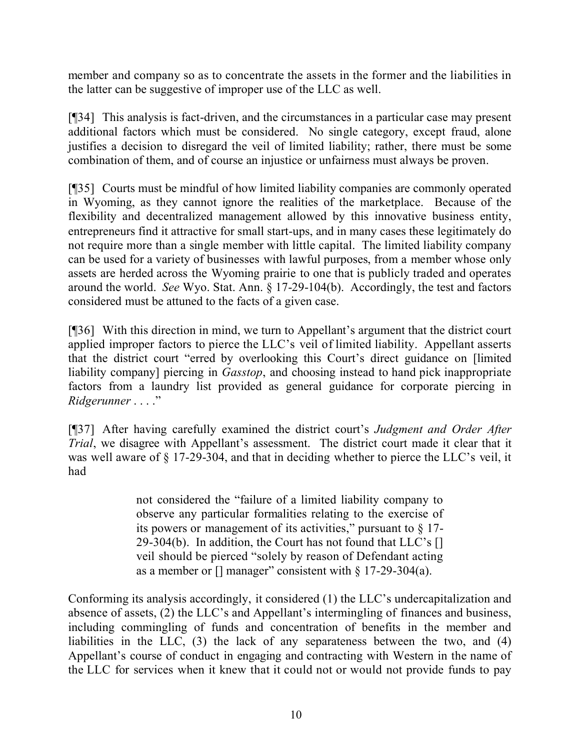member and company so as to concentrate the assets in the former and the liabilities in the latter can be suggestive of improper use of the LLC as well.

[¶34] This analysis is fact-driven, and the circumstances in a particular case may present additional factors which must be considered. No single category, except fraud, alone justifies a decision to disregard the veil of limited liability; rather, there must be some combination of them, and of course an injustice or unfairness must always be proven.

[¶35] Courts must be mindful of how limited liability companies are commonly operated in Wyoming, as they cannot ignore the realities of the marketplace. Because of the flexibility and decentralized management allowed by this innovative business entity, entrepreneurs find it attractive for small start-ups, and in many cases these legitimately do not require more than a single member with little capital. The limited liability company can be used for a variety of businesses with lawful purposes, from a member whose only assets are herded across the Wyoming prairie to one that is publicly traded and operates around the world. *See* Wyo. Stat. Ann. § 17-29-104(b). Accordingly, the test and factors considered must be attuned to the facts of a given case.

[¶36] With this direction in mind, we turn to Appellant's argument that the district court applied improper factors to pierce the LLC's veil of limited liability. Appellant asserts that the district court "erred by overlooking this Court's direct guidance on [limited liability company] piercing in *Gasstop*, and choosing instead to hand pick inappropriate factors from a laundry list provided as general guidance for corporate piercing in *Ridgerunner* . . . ."

[¶37] After having carefully examined the district court's *Judgment and Order After Trial*, we disagree with Appellant's assessment. The district court made it clear that it was well aware of § 17-29-304, and that in deciding whether to pierce the LLC's veil, it had

> not considered the "failure of a limited liability company to observe any particular formalities relating to the exercise of its powers or management of its activities," pursuant to § 17- 29-304(b). In addition, the Court has not found that  $LLC's$  [] veil should be pierced "solely by reason of Defendant acting as a member or  $\lceil \cdot \rceil$  manager" consistent with § 17-29-304(a).

Conforming its analysis accordingly, it considered (1) the LLC's undercapitalization and absence of assets, (2) the LLC's and Appellant's intermingling of finances and business, including commingling of funds and concentration of benefits in the member and liabilities in the LLC, (3) the lack of any separateness between the two, and (4) Appellant's course of conduct in engaging and contracting with Western in the name of the LLC for services when it knew that it could not or would not provide funds to pay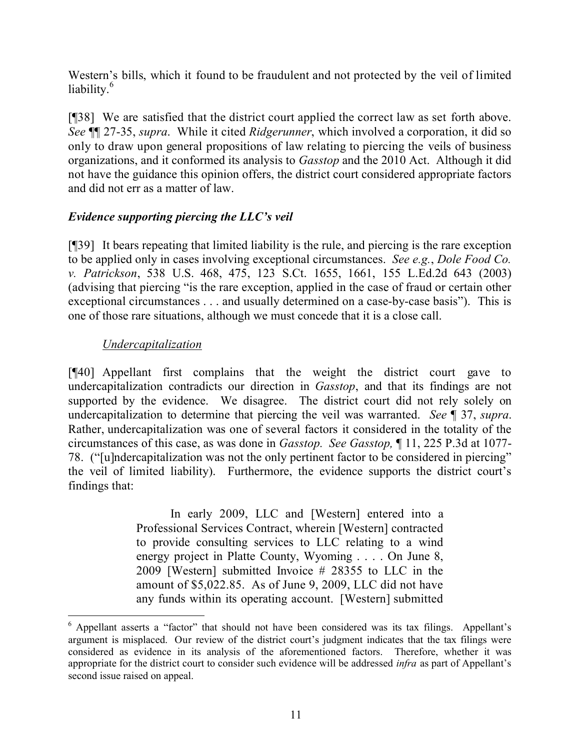Western's bills, which it found to be fraudulent and not protected by the veil of limited liability.<sup>6</sup>

[¶38] We are satisfied that the district court applied the correct law as set forth above. *See* ¶¶ 27-35, *supra*. While it cited *Ridgerunner*, which involved a corporation, it did so only to draw upon general propositions of law relating to piercing the veils of business organizations, and it conformed its analysis to *Gasstop* and the 2010 Act. Although it did not have the guidance this opinion offers, the district court considered appropriate factors and did not err as a matter of law.

# *Evidence supporting piercing the LLC's veil*

[¶39] It bears repeating that limited liability is the rule, and piercing is the rare exception to be applied only in cases involving exceptional circumstances. *See e.g.*, *Dole Food Co. v. Patrickson*, 538 U.S. 468, 475, 123 S.Ct. 1655, 1661, 155 L.Ed.2d 643 (2003) (advising that piercing "is the rare exception, applied in the case of fraud or certain other exceptional circumstances . . . and usually determined on a case-by-case basis"). This is one of those rare situations, although we must concede that it is a close call.

# *Undercapitalization*

[¶40] Appellant first complains that the weight the district court gave to undercapitalization contradicts our direction in *Gasstop*, and that its findings are not supported by the evidence. We disagree. The district court did not rely solely on undercapitalization to determine that piercing the veil was warranted. *See* ¶ 37, *supra*. Rather, undercapitalization was one of several factors it considered in the totality of the circumstances of this case, as was done in *Gasstop. See Gasstop,* ¶ 11, 225 P.3d at 1077- 78. ("[u]ndercapitalization was not the only pertinent factor to be considered in piercing" the veil of limited liability). Furthermore, the evidence supports the district court's findings that:

> In early 2009, LLC and [Western] entered into a Professional Services Contract, wherein [Western] contracted to provide consulting services to LLC relating to a wind energy project in Platte County, Wyoming . . . . On June 8, 2009 [Western] submitted Invoice # 28355 to LLC in the amount of \$5,022.85. As of June 9, 2009, LLC did not have any funds within its operating account. [Western] submitted

<sup>6</sup> Appellant asserts a "factor" that should not have been considered was its tax filings. Appellant's argument is misplaced. Our review of the district court's judgment indicates that the tax filings were considered as evidence in its analysis of the aforementioned factors. Therefore, whether it was appropriate for the district court to consider such evidence will be addressed *infra* as part of Appellant's second issue raised on appeal.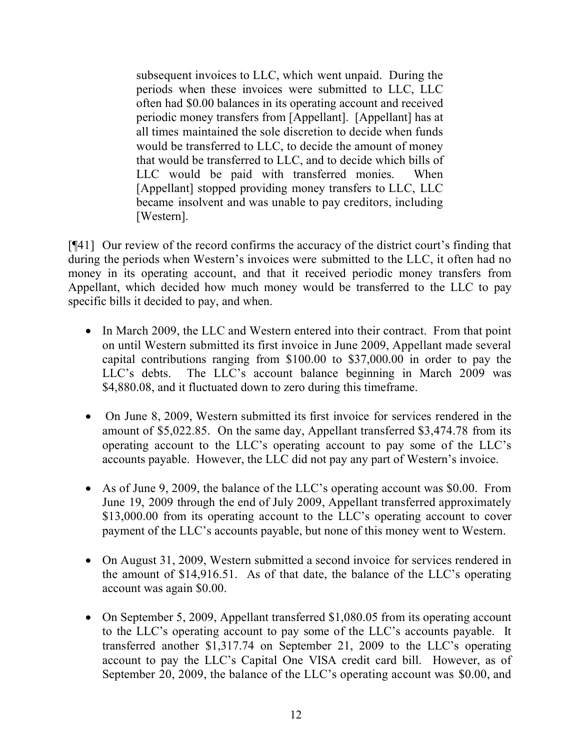subsequent invoices to LLC, which went unpaid. During the periods when these invoices were submitted to LLC, LLC often had \$0.00 balances in its operating account and received periodic money transfers from [Appellant]. [Appellant] has at all times maintained the sole discretion to decide when funds would be transferred to LLC, to decide the amount of money that would be transferred to LLC, and to decide which bills of LLC would be paid with transferred monies. When [Appellant] stopped providing money transfers to LLC, LLC became insolvent and was unable to pay creditors, including [Western].

[¶41] Our review of the record confirms the accuracy of the district court's finding that during the periods when Western's invoices were submitted to the LLC, it often had no money in its operating account, and that it received periodic money transfers from Appellant, which decided how much money would be transferred to the LLC to pay specific bills it decided to pay, and when.

- In March 2009, the LLC and Western entered into their contract. From that point on until Western submitted its first invoice in June 2009, Appellant made several capital contributions ranging from \$100.00 to \$37,000.00 in order to pay the LLC's debts. The LLC's account balance beginning in March 2009 was \$4,880.08, and it fluctuated down to zero during this timeframe.
- On June 8, 2009, Western submitted its first invoice for services rendered in the amount of \$5,022.85. On the same day, Appellant transferred \$3,474.78 from its operating account to the LLC's operating account to pay some of the LLC's accounts payable. However, the LLC did not pay any part of Western's invoice.
- As of June 9, 2009, the balance of the LLC's operating account was \$0.00. From June 19, 2009 through the end of July 2009, Appellant transferred approximately \$13,000.00 from its operating account to the LLC's operating account to cover payment of the LLC's accounts payable, but none of this money went to Western.
- On August 31, 2009, Western submitted a second invoice for services rendered in the amount of \$14,916.51. As of that date, the balance of the LLC's operating account was again \$0.00.
- On September 5, 2009, Appellant transferred \$1,080.05 from its operating account to the LLC's operating account to pay some of the LLC's accounts payable. It transferred another \$1,317.74 on September 21, 2009 to the LLC's operating account to pay the LLC's Capital One VISA credit card bill. However, as of September 20, 2009, the balance of the LLC's operating account was \$0.00, and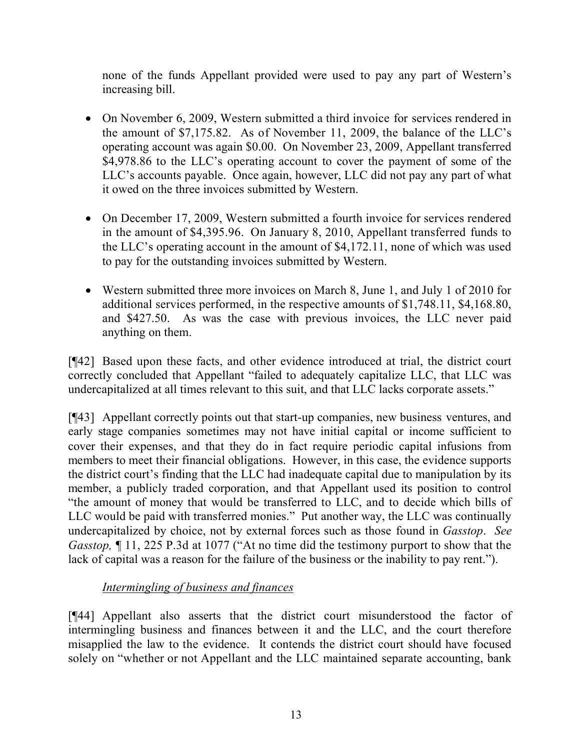none of the funds Appellant provided were used to pay any part of Western's increasing bill.

- On November 6, 2009, Western submitted a third invoice for services rendered in the amount of \$7,175.82. As of November 11, 2009, the balance of the LLC's operating account was again \$0.00. On November 23, 2009, Appellant transferred \$4,978.86 to the LLC's operating account to cover the payment of some of the LLC's accounts payable. Once again, however, LLC did not pay any part of what it owed on the three invoices submitted by Western.
- On December 17, 2009, Western submitted a fourth invoice for services rendered in the amount of \$4,395.96. On January 8, 2010, Appellant transferred funds to the LLC's operating account in the amount of \$4,172.11, none of which was used to pay for the outstanding invoices submitted by Western.
- Western submitted three more invoices on March 8, June 1, and July 1 of 2010 for additional services performed, in the respective amounts of \$1,748.11, \$4,168.80, and \$427.50. As was the case with previous invoices, the LLC never paid anything on them.

[¶42] Based upon these facts, and other evidence introduced at trial, the district court correctly concluded that Appellant "failed to adequately capitalize LLC, that LLC was undercapitalized at all times relevant to this suit, and that LLC lacks corporate assets."

[¶43] Appellant correctly points out that start-up companies, new business ventures, and early stage companies sometimes may not have initial capital or income sufficient to cover their expenses, and that they do in fact require periodic capital infusions from members to meet their financial obligations. However, in this case, the evidence supports the district court's finding that the LLC had inadequate capital due to manipulation by its member, a publicly traded corporation, and that Appellant used its position to control "the amount of money that would be transferred to LLC, and to decide which bills of LLC would be paid with transferred monies." Put another way, the LLC was continually undercapitalized by choice, not by external forces such as those found in *Gasstop*. *See Gasstop*, ¶ 11, 225 P.3d at 1077 ("At no time did the testimony purport to show that the lack of capital was a reason for the failure of the business or the inability to pay rent.").

# *Intermingling of business and finances*

[¶44] Appellant also asserts that the district court misunderstood the factor of intermingling business and finances between it and the LLC, and the court therefore misapplied the law to the evidence. It contends the district court should have focused solely on "whether or not Appellant and the LLC maintained separate accounting, bank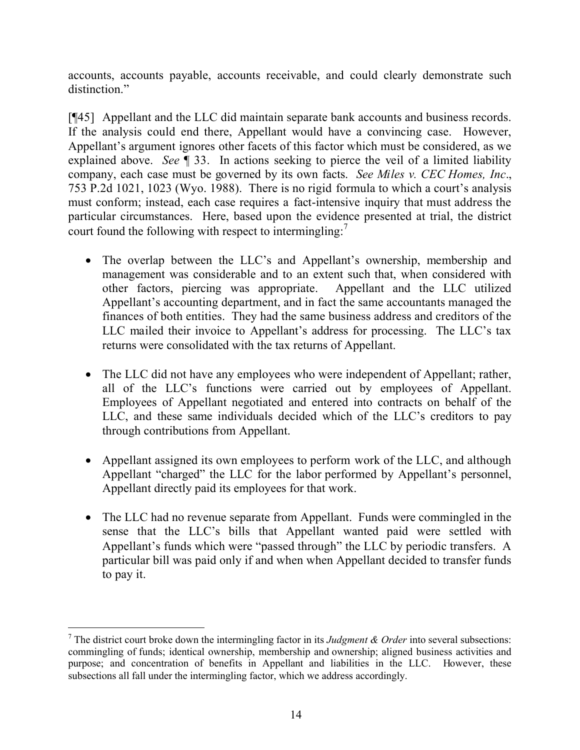accounts, accounts payable, accounts receivable, and could clearly demonstrate such distinction."

[¶45] Appellant and the LLC did maintain separate bank accounts and business records. If the analysis could end there, Appellant would have a convincing case. However, Appellant's argument ignores other facets of this factor which must be considered, as we explained above. *See* ¶ 33. In actions seeking to pierce the veil of a limited liability company, each case must be governed by its own facts. *See Miles v. CEC Homes, Inc*., 753 P.2d 1021, 1023 (Wyo. 1988). There is no rigid formula to which a court's analysis must conform; instead, each case requires a fact-intensive inquiry that must address the particular circumstances. Here, based upon the evidence presented at trial, the district court found the following with respect to intermingling:

- The overlap between the LLC's and Appellant's ownership, membership and management was considerable and to an extent such that, when considered with other factors, piercing was appropriate. Appellant and the LLC utilized Appellant's accounting department, and in fact the same accountants managed the finances of both entities. They had the same business address and creditors of the LLC mailed their invoice to Appellant's address for processing. The LLC's tax returns were consolidated with the tax returns of Appellant.
- The LLC did not have any employees who were independent of Appellant; rather, all of the LLC's functions were carried out by employees of Appellant. Employees of Appellant negotiated and entered into contracts on behalf of the LLC, and these same individuals decided which of the LLC's creditors to pay through contributions from Appellant.
- Appellant assigned its own employees to perform work of the LLC, and although Appellant "charged" the LLC for the labor performed by Appellant's personnel, Appellant directly paid its employees for that work.
- The LLC had no revenue separate from Appellant. Funds were commingled in the sense that the LLC's bills that Appellant wanted paid were settled with Appellant's funds which were "passed through" the LLC by periodic transfers. A particular bill was paid only if and when when Appellant decided to transfer funds to pay it.

 $\overline{a}$ <sup>7</sup> The district court broke down the intermingling factor in its *Judgment & Order* into several subsections: commingling of funds; identical ownership, membership and ownership; aligned business activities and purpose; and concentration of benefits in Appellant and liabilities in the LLC. However, these subsections all fall under the intermingling factor, which we address accordingly.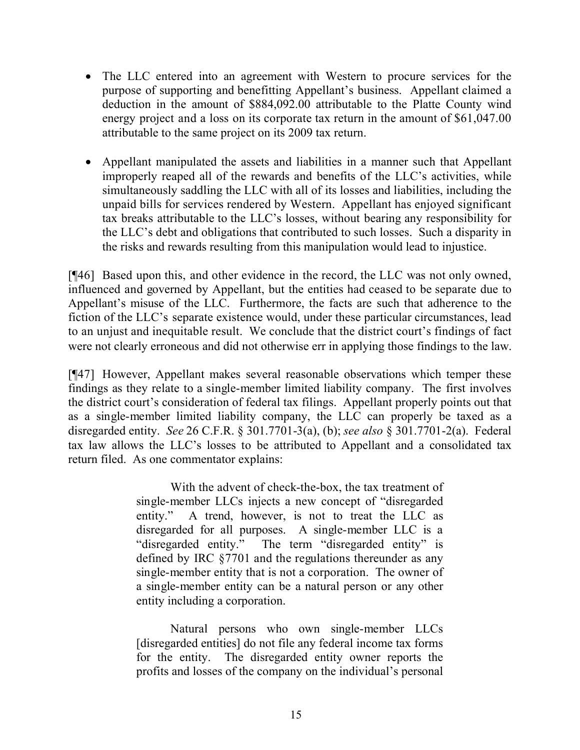- The LLC entered into an agreement with Western to procure services for the purpose of supporting and benefitting Appellant's business. Appellant claimed a deduction in the amount of \$884,092.00 attributable to the Platte County wind energy project and a loss on its corporate tax return in the amount of \$61,047.00 attributable to the same project on its 2009 tax return.
- Appellant manipulated the assets and liabilities in a manner such that Appellant improperly reaped all of the rewards and benefits of the LLC's activities, while simultaneously saddling the LLC with all of its losses and liabilities, including the unpaid bills for services rendered by Western. Appellant has enjoyed significant tax breaks attributable to the LLC's losses, without bearing any responsibility for the LLC's debt and obligations that contributed to such losses. Such a disparity in the risks and rewards resulting from this manipulation would lead to injustice.

[¶46] Based upon this, and other evidence in the record, the LLC was not only owned, influenced and governed by Appellant, but the entities had ceased to be separate due to Appellant's misuse of the LLC. Furthermore, the facts are such that adherence to the fiction of the LLC's separate existence would, under these particular circumstances, lead to an unjust and inequitable result. We conclude that the district court's findings of fact were not clearly erroneous and did not otherwise err in applying those findings to the law.

[¶47] However, Appellant makes several reasonable observations which temper these findings as they relate to a single-member limited liability company. The first involves the district court's consideration of federal tax filings. Appellant properly points out that as a single-member limited liability company, the LLC can properly be taxed as a disregarded entity. *See* 26 C.F.R. § 301.7701-3(a), (b); *see also* § 301.7701-2(a). Federal tax law allows the LLC's losses to be attributed to Appellant and a consolidated tax return filed. As one commentator explains:

> With the advent of check-the-box, the tax treatment of single-member LLCs injects a new concept of "disregarded entity." A trend, however, is not to treat the LLC as disregarded for all purposes. A single-member LLC is a "disregarded entity." The term "disregarded entity" is defined by IRC §7701 and the regulations thereunder as any single-member entity that is not a corporation. The owner of a single-member entity can be a natural person or any other entity including a corporation.

> Natural persons who own single-member LLCs [disregarded entities] do not file any federal income tax forms for the entity. The disregarded entity owner reports the profits and losses of the company on the individual's personal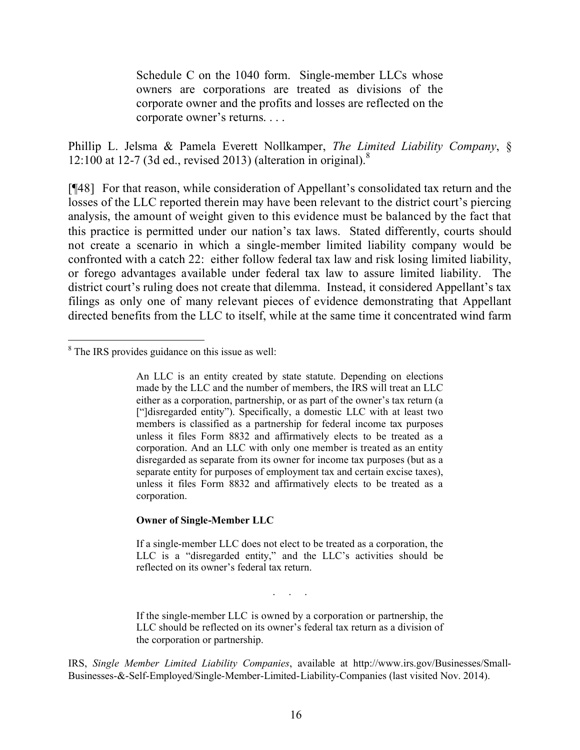Schedule C on the 1040 form. Single-member LLCs whose owners are corporations are treated as divisions of the corporate owner and the profits and losses are reflected on the corporate owner's returns. . . .

Phillip L. Jelsma & Pamela Everett Nollkamper, *The Limited Liability Company*, § 12:100 at 12-7 (3d ed., revised 2013) (alteration in original). $8$ 

[¶48] For that reason, while consideration of Appellant's consolidated tax return and the losses of the LLC reported therein may have been relevant to the district court's piercing analysis, the amount of weight given to this evidence must be balanced by the fact that this practice is permitted under our nation's tax laws. Stated differently, courts should not create a scenario in which a single-member limited liability company would be confronted with a catch 22: either follow federal tax law and risk losing limited liability, or forego advantages available under federal tax law to assure limited liability. The district court's ruling does not create that dilemma. Instead, it considered Appellant's tax filings as only one of many relevant pieces of evidence demonstrating that Appellant directed benefits from the LLC to itself, while at the same time it concentrated wind farm

An LLC is an entity created by state statute. Depending on elections made by the LLC and the number of members, the IRS will treat an LLC either as a corporation, partnership, or as part of the owner's tax return (a ["]disregarded entity"). Specifically, a domestic LLC with at least two members is classified as a partnership for federal income tax purposes unless it files Form 8832 and affirmatively elects to be treated as a corporation. And an LLC with only one member is treated as an entity disregarded as separate from its owner for income tax purposes (but as a separate entity for purposes of employment tax and certain excise taxes), unless it files Form 8832 and affirmatively elects to be treated as a corporation.

#### **Owner of Single-Member LLC**

If a single-member LLC does not elect to be treated as a corporation, the LLC is a "disregarded entity," and the LLC's activities should be reflected on its owner's federal tax return.

. . . . .<br>. . . . . .

If the single-member LLC is owned by a corporation or partnership, the LLC should be reflected on its owner's federal tax return as a division of the corporation or partnership.

IRS, *Single Member Limited Liability Companies*, available at http://www.irs.gov/Businesses/Small-Businesses-&-Self-Employed/Single-Member-Limited-Liability-Companies (last visited Nov. 2014).

 $8^8$  The IRS provides guidance on this issue as well: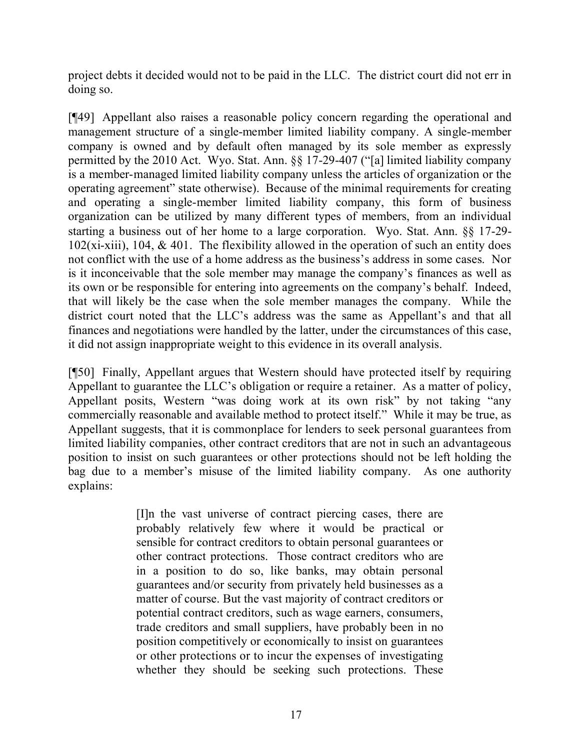project debts it decided would not to be paid in the LLC. The district court did not err in doing so.

[¶49] Appellant also raises a reasonable policy concern regarding the operational and management structure of a single-member limited liability company. A single-member company is owned and by default often managed by its sole member as expressly permitted by the 2010 Act. Wyo. Stat. Ann. §§ 17-29-407 ("[a] limited liability company is a member-managed limited liability company unless the articles of organization or the operating agreement" state otherwise). Because of the minimal requirements for creating and operating a single-member limited liability company, this form of business organization can be utilized by many different types of members, from an individual starting a business out of her home to a large corporation. Wyo. Stat. Ann. §§ 17-29- 102(xi-xiii), 104, & 401. The flexibility allowed in the operation of such an entity does not conflict with the use of a home address as the business's address in some cases. Nor is it inconceivable that the sole member may manage the company's finances as well as its own or be responsible for entering into agreements on the company's behalf. Indeed, that will likely be the case when the sole member manages the company. While the district court noted that the LLC's address was the same as Appellant's and that all finances and negotiations were handled by the latter, under the circumstances of this case, it did not assign inappropriate weight to this evidence in its overall analysis.

[¶50] Finally, Appellant argues that Western should have protected itself by requiring Appellant to guarantee the LLC's obligation or require a retainer. As a matter of policy, Appellant posits, Western "was doing work at its own risk" by not taking "any commercially reasonable and available method to protect itself." While it may be true, as Appellant suggests, that it is commonplace for lenders to seek personal guarantees from limited liability companies, other contract creditors that are not in such an advantageous position to insist on such guarantees or other protections should not be left holding the bag due to a member's misuse of the limited liability company. As one authority explains:

> [I]n the vast universe of contract piercing cases, there are probably relatively few where it would be practical or sensible for contract creditors to obtain personal guarantees or other contract protections. Those contract creditors who are in a position to do so, like banks, may obtain personal guarantees and/or security from privately held businesses as a matter of course. But the vast majority of contract creditors or potential contract creditors, such as wage earners, consumers, trade creditors and small suppliers, have probably been in no position competitively or economically to insist on guarantees or other protections or to incur the expenses of investigating whether they should be seeking such protections. These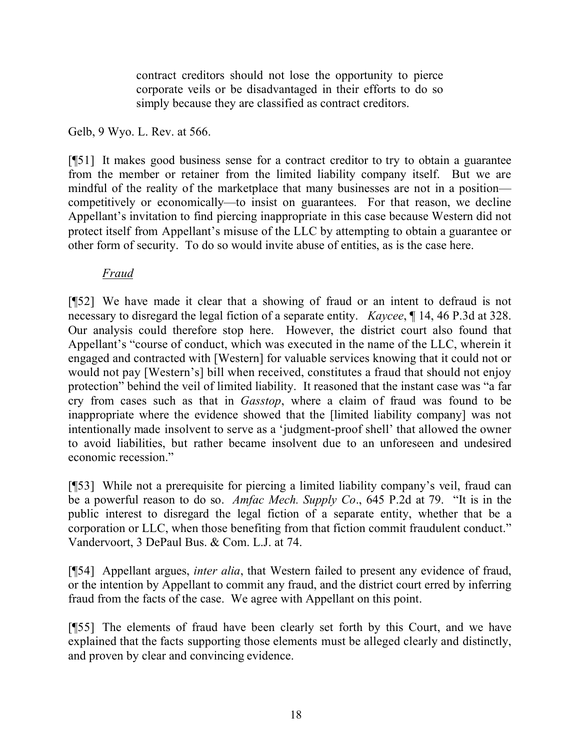contract creditors should not lose the opportunity to pierce corporate veils or be disadvantaged in their efforts to do so simply because they are classified as contract creditors.

Gelb, 9 Wyo. L. Rev. at 566.

[¶51] It makes good business sense for a contract creditor to try to obtain a guarantee from the member or retainer from the limited liability company itself. But we are mindful of the reality of the marketplace that many businesses are not in a position competitively or economically—to insist on guarantees. For that reason, we decline Appellant's invitation to find piercing inappropriate in this case because Western did not protect itself from Appellant's misuse of the LLC by attempting to obtain a guarantee or other form of security. To do so would invite abuse of entities, as is the case here.

*Fraud*

[¶52] We have made it clear that a showing of fraud or an intent to defraud is not necessary to disregard the legal fiction of a separate entity. *Kaycee*, ¶ 14, 46 P.3d at 328. Our analysis could therefore stop here. However, the district court also found that Appellant's "course of conduct, which was executed in the name of the LLC, wherein it engaged and contracted with [Western] for valuable services knowing that it could not or would not pay [Western's] bill when received, constitutes a fraud that should not enjoy protection" behind the veil of limited liability. It reasoned that the instant case was "a far cry from cases such as that in *Gasstop*, where a claim of fraud was found to be inappropriate where the evidence showed that the [limited liability company] was not intentionally made insolvent to serve as a 'judgment-proof shell' that allowed the owner to avoid liabilities, but rather became insolvent due to an unforeseen and undesired economic recession."

[¶53] While not a prerequisite for piercing a limited liability company's veil, fraud can be a powerful reason to do so. *Amfac Mech. Supply Co*., 645 P.2d at 79. "It is in the public interest to disregard the legal fiction of a separate entity, whether that be a corporation or LLC, when those benefiting from that fiction commit fraudulent conduct." Vandervoort, 3 DePaul Bus. & Com. L.J. at 74.

[¶54] Appellant argues, *inter alia*, that Western failed to present any evidence of fraud, or the intention by Appellant to commit any fraud, and the district court erred by inferring fraud from the facts of the case. We agree with Appellant on this point.

[¶55] The elements of fraud have been clearly set forth by this Court, and we have explained that the facts supporting those elements must be alleged clearly and distinctly, and proven by clear and convincing evidence.